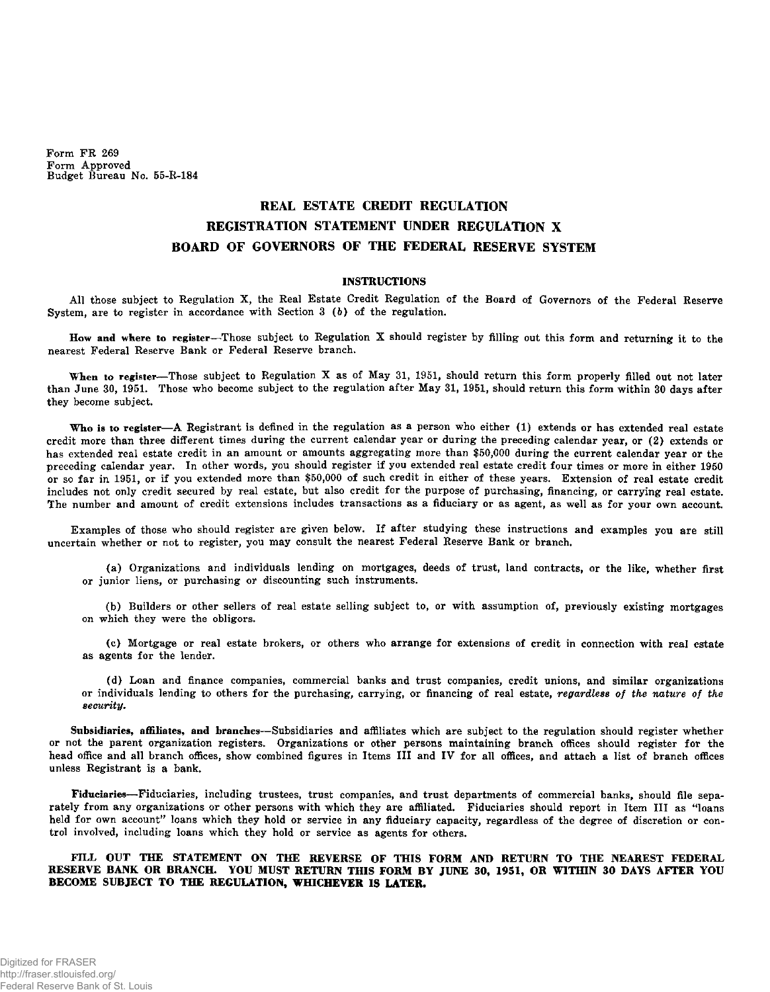Form FR 269 Form Approved Budget Bureau No. 55-R-184

## **REAL ESTATE CREDIT REGULATION REGISTRATION STATEMENT UNDER REGULATION X BOARD OF GOVERNORS OF THE FEDERAL RESERVE SYSTEM**

## **INSTRUCTIONS**

All those subject to Regulation X, the Real Estate Credit Regulation of the Board of Governors of the Federal Reserve System, are to register in accordance with Section 3 (b) of the regulation.

**How and where to register**—Those subject to Regulation **X** should register by filling out this form and returning it to the nearest Federal Reserve Bank or Federal Reserve branch.

**When to register**—Those subject to Regulation X as of May 31, 1951, should return this form properly filled out not later than June 30, 1951. Those who become subject to the regulation after May 31, 1951, should return this form within 30 days after they become subject.

**Who is to register**—A Registrant is defined in the regulation as a person who either (1) extends or has extended real estate credit more than three different times during the current calendar year or during the preceding calendar year, or (2) extends or has extended real estate credit in an amount or amounts aggregating more than \$50,000 during the current calendar year or the preceding calendar year. In other words, you should register if you extended real estate credit four times or more in either 1950 or so far in 1951, or if you extended more than \$50,000 of such credit in either of these years. Extension of real estate credit includes not only credit secured by real estate, but also credit for the purpose of purchasing, financing, or carrying real estate. The number and amount of credit extensions includes transactions as a fiduciary or as agent, as well as for your own account.

Examples of those who should register are given below. If after studying these instructions and examples you are still uncertain whether or not to register, you may consult the nearest Federal Reserve Bank or branch.

(a) Organizations and individuals lending on mortgages, deeds of trust, land contracts, or the like, whether first or junior liens, or purchasing or discounting such instruments.

(b) Builders or other sellers of real estate selling subject to, or with assumption of, previously existing mortgages on which they were the obligors.

(c) Mortgage or real estate brokers, or others who arrange for extensions of credit in connection with real estate as agents for the lender.

(d) Loan and finance companies, commercial banks and trust companies, credit unions, and similar organizations or individuals lending to others for the purchasing, carrying, or financing of real estate, *regardless of the nature of the security.* 

**Subsidiaries, affiliates, and branches**—Subsidiaries and affiliates which are subject to the regulation should register whether or not the parent organization registers. Organizations or other persons maintaining branch offices should register for the head office and all branch offices, show combined figures in Items III and IV for all offices, and attach a list of branch offices unless Registrant is a bank.

**Fiduciaries**—Fiduciaries, including trustees, trust companies, and trust departments of commercial banks, should file separately from any organizations or other persons with which they are affiliated. Fiduciaries should report in Item III as "loans held for own account" loans which they hold or service in any fiduciary capacity, regardless of the degree of discretion or control involved, including loans which they hold or service as agents for others.

## **FILL OUT THE STATEMENT ON THE REVERSE OF THIS FORM AND RETURN TO THE NEAREST FEDERAL RESERVE BANK OR BRANCH. YOU MUST RETURN THIS FORM BY JUNE 30, 1951, OR WITHIN 30 DAYS AFTER YOU BECOME SUBJECT TO THE REGULATION, WHICHEVER IS LATER.**